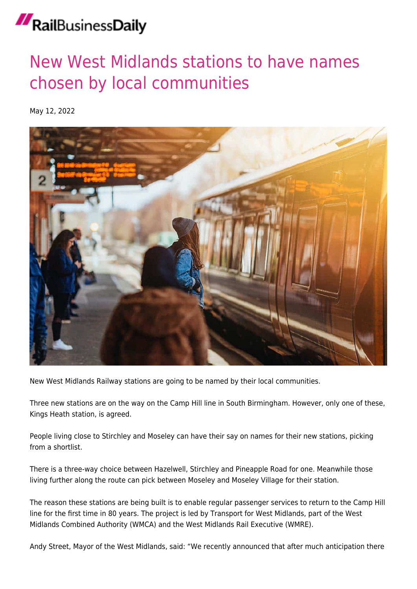## RailBusinessDaily

## [New West Midlands stations to have names](https://news.railbusinessdaily.com/new-west-midlands-stations-to-have-names-chosen-by-local-communities/) [chosen by local communities](https://news.railbusinessdaily.com/new-west-midlands-stations-to-have-names-chosen-by-local-communities/)

May 12, 2022



New West Midlands Railway stations are going to be named by their local communities.

Three new stations are on the way on the Camp Hill line in South Birmingham. However, only one of these, Kings Heath station, is agreed.

People living close to Stirchley and Moseley can have their say on names for their new stations, picking from a shortlist.

There is a three-way choice between Hazelwell, Stirchley and Pineapple Road for one. Meanwhile those living further along the route can pick between Moseley and Moseley Village for their station.

The reason these stations are being built is to enable regular passenger services to return to the Camp Hill line for the first time in 80 years. The project is led by Transport for West Midlands, part of the West Midlands Combined Authority (WMCA) and the West Midlands Rail Executive (WMRE).

Andy Street, Mayor of the West Midlands, said: "We recently announced that after much anticipation there